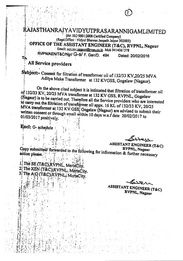# RAJASTHANRAJYAVIDYUTPRASARANNIGAMLIMITED

(An ISO 9001:2008 Certified Company)

### (Regd.Office: Vidyut Bhawan Janpath Jaipur 302005) OFFICE OF THE ASSISTANT ENGINEER (T&C), RVPNL, Nagaur

Email: aga.inc.nagaun@rvpn.co.in Mob 9414061378

RVPN/AEN/T&C/Ngr/ G-S/ F. Gen/D. 494 Dated: 20/02/2016

All Service providers

T'n

Subject:- Consent for filtration of transformer oil of 132/33 KV,20/25 MVA Aditya Make Transformer at 132 KVGSS, Gogelaw (Nagaur).

On the above cited subject it is intimated that filtration of transformer oil of 132/33 KV, 20/25 MVA transformer at 132 KV GSS, RVPNL, Gogelaw (Nagaur) is to be carried out. Therefore all the Service providers who are interested to carry out the filtration of transformer oil appx. 16 KL of 132/33 KV, 20/25 MVA transformer at 132 KV GSS, Gogelaw (Nagaur) are advised to submit their written consent or through email within 10 days w.e.f date 20/02/2017 to 01/03/2017 positively.

Encl: G-schedule

action please.

**ASSISTANT ENGINEER (T&C)** Copy submitted/ forwarded to the following for information & further necessary

1. The SE (T&C), RVPNL, Meriacity. 2. The XEN (T&C) RVPNL, MertaCity. 3. The A.O (T&C), RVPNL, MertaCity.

**ASSISTANT ENGINEER (T&C)** RVPNL, Nagaur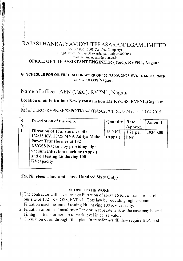## RAJASTHANRAJY AVIDYUTPRASARANNIGAMLIMITED

#### (An ISO 9001:2008 Certified Company) (Regd.Office : VidyutBhawanJanpath Jaipur 302005) Email: aen.tnc.nagaur@rvpn.co.in

## OFFICE OF THE ASSISTANT ENGINEER (T&C), RVPNL, Nagaur

#### G" SCHEDULE FOR OIL FILTERATION WORK OF 132/33 KV, 20/25 MVA TRANSFORMER AT 132 KV GSS Nagaur

## Name of office - AEN (T&C), RVPNL, Nagaur

Location of oil Filtration: Newly construction 132 KVGSS, RVPNL,Gogelaw

Ref of CLRC *-RVPN/SE/SSPC/TK/A-1/TN.5023/CLRC/D.74* dated 15.04.2015

| S<br><b>No</b> | Description of the work                                                                                                                                                                                                                 | Quantity           | Rate<br>(approx.)   | Amount   |
|----------------|-----------------------------------------------------------------------------------------------------------------------------------------------------------------------------------------------------------------------------------------|--------------------|---------------------|----------|
| $1^{\circ}$    | Filtration of Transformer oil of<br>132/33 KV, 20/25 MVA Aditya Make<br><b>Power Transformer at 132</b><br><b>KVGSS Nagaur, by providing high</b><br>vacuum Filtration machine (Appx.)<br>and oil testing kit, having 100<br>KVcapacity | 16.0 KL<br>(Appx.) | $1.21$ per<br>liter | 19360.00 |

(Rs. Nineteen Thousand Three Hundred Sixty Only)

#### SCOPE OF THE WORK

- L The contractor will have arrange Filtration of about 16 KL of transformer oil at our site of 132 KV GSS, RVPNL, Gogelaw by providing high vacuum Filtration machine and oil testing kit, having 100 KV capacity.
- 2. Filtration of oil in Transformer Tank or in separate tank as the case may be and Filling in transformer up to mark level in conservator.
- 3. Circulation of oil through filter plant in transformer till they require BDV and